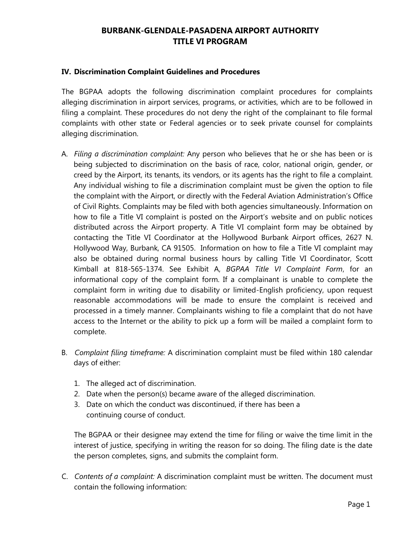## **BURBANK-GLENDALE-PASADENA AIRPORT AUTHORITY TITLE VI PROGRAM**

## **IV. Discrimination Complaint Guidelines and Procedures**

The BGPAA adopts the following discrimination complaint procedures for complaints alleging discrimination in airport services, programs, or activities, which are to be followed in filing a complaint. These procedures do not deny the right of the complainant to file formal complaints with other state or Federal agencies or to seek private counsel for complaints alleging discrimination.

- A. *Filing a discrimination complaint:* Any person who believes that he or she has been or is being subjected to discrimination on the basis of race, color, national origin, gender, or creed by the Airport, its tenants, its vendors, or its agents has the right to file a complaint. Any individual wishing to file a discrimination complaint must be given the option to file the complaint with the Airport, or directly with the Federal Aviation Administration's Office of Civil Rights. Complaints may be filed with both agencies simultaneously. Information on how to file a Title VI complaint is posted on the Airport's website and on public notices distributed across the Airport property. A Title VI complaint form may be obtained by contacting the Title VI Coordinator at the Hollywood Burbank Airport offices, 2627 N. Hollywood Way, Burbank, CA 91505. Information on how to file a Title VI complaint may also be obtained during normal business hours by calling Title VI Coordinator, Scott Kimball at 818-565-1374. See Exhibit A, *BGPAA Title VI Complaint Form*, for an informational copy of the complaint form. If a complainant is unable to complete the complaint form in writing due to disability or limited-English proficiency, upon request reasonable accommodations will be made to ensure the complaint is received and processed in a timely manner. Complainants wishing to file a complaint that do not have access to the Internet or the ability to pick up a form will be mailed a complaint form to complete.
- B. *Complaint filing timeframe:* A discrimination complaint must be filed within 180 calendar days of either:
	- 1. The alleged act of discrimination.
	- 2. Date when the person(s) became aware of the alleged discrimination.
	- 3. Date on which the conduct was discontinued, if there has been a continuing course of conduct.

The BGPAA or their designee may extend the time for filing or waive the time limit in the interest of justice, specifying in writing the reason for so doing. The filing date is the date the person completes, signs, and submits the complaint form.

C. *Contents of a complaint:* A discrimination complaint must be written. The document must contain the following information: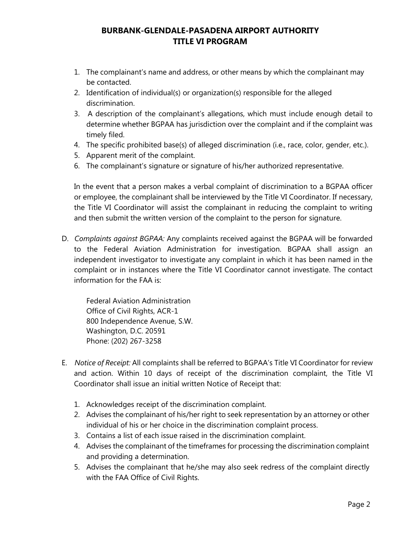## **BURBANK-GLENDALE-PASADENA AIRPORT AUTHORITY TITLE VI PROGRAM**

- 1. The complainant's name and address, or other means by which the complainant may be contacted.
- 2. Identification of individual(s) or organization(s) responsible for the alleged discrimination.
- 3. A description of the complainant's allegations, which must include enough detail to determine whether BGPAA has jurisdiction over the complaint and if the complaint was timely filed.
- 4. The specific prohibited base(s) of alleged discrimination (i.e., race, color, gender, etc.).
- 5. Apparent merit of the complaint.
- 6. The complainant's signature or signature of his/her authorized representative.

In the event that a person makes a verbal complaint of discrimination to a BGPAA officer or employee, the complainant shall be interviewed by the Title VI Coordinator. If necessary, the Title VI Coordinator will assist the complainant in reducing the complaint to writing and then submit the written version of the complaint to the person for signature.

D. *Complaints against BGPAA:* Any complaints received against the BGPAA will be forwarded to the Federal Aviation Administration for investigation. BGPAA shall assign an independent investigator to investigate any complaint in which it has been named in the complaint or in instances where the Title VI Coordinator cannot investigate. The contact information for the FAA is:

Federal Aviation Administration Office of Civil Rights, ACR-1 800 Independence Avenue, S.W. Washington, D.C. 20591 Phone: (202) 267-3258

- E. *Notice of Receipt:* All complaints shall be referred to BGPAA's Title VI Coordinator for review and action. Within 10 days of receipt of the discrimination complaint, the Title VI Coordinator shall issue an initial written Notice of Receipt that:
	- 1. Acknowledges receipt of the discrimination complaint.
	- 2. Advises the complainant of his/her right to seek representation by an attorney or other individual of his or her choice in the discrimination complaint process.
	- 3. Contains a list of each issue raised in the discrimination complaint.
	- 4. Advises the complainant of the timeframes for processing the discrimination complaint and providing a determination.
	- 5. Advises the complainant that he/she may also seek redress of the complaint directly with the FAA Office of Civil Rights.